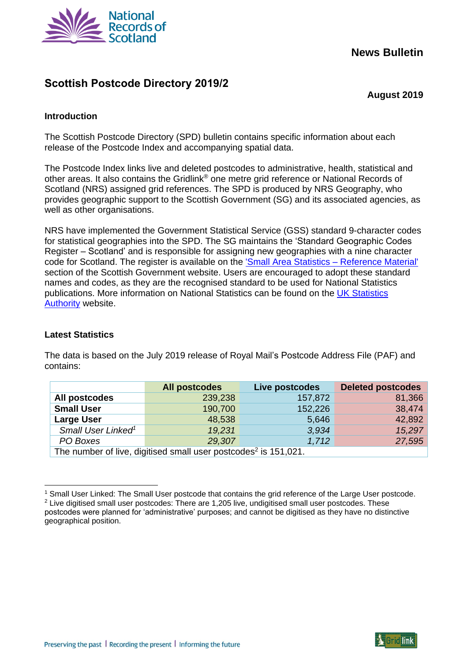

# **News Bulletin**

# **Scottish Postcode Directory 2019/2**

**August 2019**

# **Introduction**

The Scottish Postcode Directory (SPD) bulletin contains specific information about each release of the Postcode Index and accompanying spatial data.

The Postcode Index links live and deleted postcodes to administrative, health, statistical and other areas. It also contains the Gridlink® one metre grid reference or National Records of Scotland (NRS) assigned grid references. The SPD is produced by NRS Geography, who provides geographic support to the Scottish Government (SG) and its associated agencies, as well as other organisations.

NRS have implemented the Government Statistical Service (GSS) standard 9-character codes for statistical geographies into the SPD. The SG maintains the 'Standard Geographic Codes Register – Scotland' and is responsible for assigning new geographies with a nine character code for Scotland. The register is available on the ['Small Area Statistics –](http://www.gov.scot/Topics/Statistics/sns/SNSRef) Reference Material' section of the Scottish Government website. Users are encouraged to adopt these standard names and codes, as they are the recognised standard to be used for National Statistics publications. More information on National Statistics can be found on the [UK Statistics](https://www.statisticsauthority.gov.uk/)  **[Authority](https://www.statisticsauthority.gov.uk/) website.** 

## **Latest Statistics**

 $\overline{a}$ 

The data is based on the July 2019 release of Royal Mail's Postcode Address File (PAF) and contains:

|                                                                             | <b>All postcodes</b> | Live postcodes | <b>Deleted postcodes</b> |
|-----------------------------------------------------------------------------|----------------------|----------------|--------------------------|
| All postcodes                                                               | 239,238              | 157,872        | 81,366                   |
| <b>Small User</b>                                                           | 190,700              | 152,226        | 38,474                   |
| <b>Large User</b>                                                           | 48,538               | 5,646          | 42,892                   |
| Small User Linked <sup>1</sup>                                              | 19,231               | 3,934          | 15,297                   |
| PO Boxes                                                                    | 29,307               | 1,712          | 27,595                   |
| The number of live, digitised small user postcodes <sup>2</sup> is 151,021. |                      |                |                          |

<sup>1</sup> Small User Linked: The Small User postcode that contains the grid reference of the Large User postcode. <sup>2</sup> Live digitised small user postcodes: There are 1,205 live, undigitised small user postcodes. These postcodes were planned for 'administrative' purposes; and cannot be digitised as they have no distinctive geographical position.

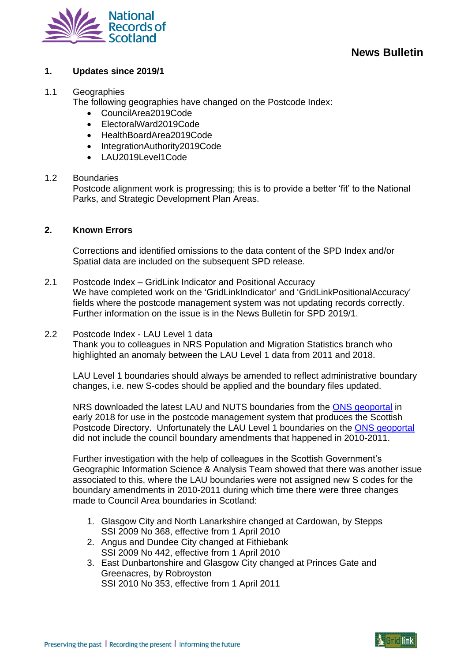

# **1. Updates since 2019/1**

#### 1.1 Geographies

The following geographies have changed on the Postcode Index:

- CouncilArea2019Code
- ElectoralWard2019Code
- HealthBoardArea2019Code
- IntegrationAuthority2019Code
- LAU2019Level1Code

#### 1.2 Boundaries

Postcode alignment work is progressing; this is to provide a better 'fit' to the National Parks, and Strategic Development Plan Areas.

# **2. Known Errors**

Corrections and identified omissions to the data content of the SPD Index and/or Spatial data are included on the subsequent SPD release.

- 2.1 Postcode Index GridLink Indicator and Positional Accuracy We have completed work on the 'GridLinkIndicator' and 'GridLinkPositionalAccuracy' fields where the postcode management system was not updating records correctly. Further information on the issue is in the News Bulletin for SPD 2019/1.
- 2.2 Postcode Index LAU Level 1 data

Thank you to colleagues in NRS Population and Migration Statistics branch who highlighted an anomaly between the LAU Level 1 data from 2011 and 2018.

LAU Level 1 boundaries should always be amended to reflect administrative boundary changes, i.e. new S-codes should be applied and the boundary files updated.

NRS downloaded the latest LAU and NUTS boundaries from the [ONS geoportal](http://geoportal.statistics.gov.uk/) in early 2018 for use in the postcode management system that produces the Scottish Postcode Directory. Unfortunately the LAU Level 1 boundaries on the [ONS geoportal](http://geoportal.statistics.gov.uk/) did not include the council boundary amendments that happened in 2010-2011.

Further investigation with the help of colleagues in the Scottish Government's Geographic Information Science & Analysis Team showed that there was another issue associated to this, where the LAU boundaries were not assigned new S codes for the boundary amendments in 2010-2011 during which time there were three changes made to Council Area boundaries in Scotland:

- 1. Glasgow City and North Lanarkshire changed at Cardowan, by Stepps SSI 2009 No 368, effective from 1 April 2010
- 2. Angus and Dundee City changed at Fithiebank SSI 2009 No 442, effective from 1 April 2010
- 3. East Dunbartonshire and Glasgow City changed at Princes Gate and Greenacres, by Robroyston SSI 2010 No 353, effective from 1 April 2011

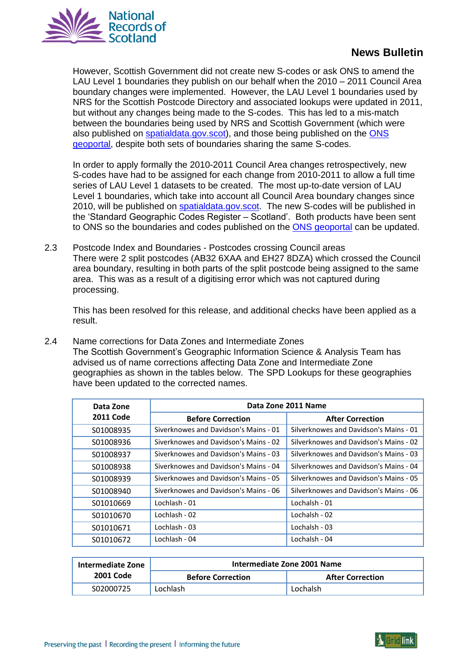

# **News Bulletin**

However, Scottish Government did not create new S-codes or ask ONS to amend the LAU Level 1 boundaries they publish on our behalf when the 2010 – 2011 Council Area boundary changes were implemented. However, the LAU Level 1 boundaries used by NRS for the Scottish Postcode Directory and associated lookups were updated in 2011, but without any changes being made to the S-codes. This has led to a mis-match between the boundaries being used by NRS and Scottish Government (which were also published on [spatialdata.gov.scot\)](https://www.spatialdata.gov.scot/geonetwork/srv/eng/catalog.search#/home), and those being published on the [ONS](http://geoportal.statistics.gov.uk/)  [geoportal,](http://geoportal.statistics.gov.uk/) despite both sets of boundaries sharing the same S-codes.

In order to apply formally the 2010-2011 Council Area changes retrospectively, new S-codes have had to be assigned for each change from 2010-2011 to allow a full time series of LAU Level 1 datasets to be created. The most up-to-date version of LAU Level 1 boundaries, which take into account all Council Area boundary changes since 2010, will be published on [spatialdata.gov.scot.](https://www.spatialdata.gov.scot/geonetwork/srv/eng/catalog.search#/home) The new S-codes will be published in the 'Standard Geographic Codes Register – Scotland'. Both products have been sent to ONS so the boundaries and codes published on the [ONS geoportal](http://geoportal.statistics.gov.uk/) can be updated.

2.3 Postcode Index and Boundaries - Postcodes crossing Council areas There were 2 split postcodes (AB32 6XAA and EH27 8DZA) which crossed the Council area boundary, resulting in both parts of the split postcode being assigned to the same area. This was as a result of a digitising error which was not captured during processing.

This has been resolved for this release, and additional checks have been applied as a result.

2.4 Name corrections for Data Zones and Intermediate Zones The Scottish Government's Geographic Information Science & Analysis Team has advised us of name corrections affecting Data Zone and Intermediate Zone geographies as shown in the tables below. The SPD Lookups for these geographies have been updated to the corrected names.

| Data Zone        | Data Zone 2011 Name                   |                                        |  |
|------------------|---------------------------------------|----------------------------------------|--|
| <b>2011 Code</b> | <b>Before Correction</b>              | <b>After Correction</b>                |  |
| S01008935        | Siverknowes and Davidson's Mains - 01 | Silverknowes and Davidson's Mains - 01 |  |
| S01008936        | Siverknowes and Davidson's Mains - 02 | Silverknowes and Davidson's Mains - 02 |  |
| S01008937        | Siverknowes and Davidson's Mains - 03 | Silverknowes and Davidson's Mains - 03 |  |
| S01008938        | Siverknowes and Davidson's Mains - 04 | Silverknowes and Davidson's Mains - 04 |  |
| S01008939        | Siverknowes and Davidson's Mains - 05 | Silverknowes and Davidson's Mains - 05 |  |
| S01008940        | Siverknowes and Davidson's Mains - 06 | Silverknowes and Davidson's Mains - 06 |  |
| S01010669        | Lochlash - 01                         | Lochalsh - 01                          |  |
| S01010670        | Lochlash - 02                         | Lochalsh - 02                          |  |
| S01010671        | Lochlash - 03                         | Lochalsh - 03                          |  |
| S01010672        | Lochlash - 04                         | Lochalsh - 04                          |  |

| Intermediate Zone | Intermediate Zone 2001 Name |                         |
|-------------------|-----------------------------|-------------------------|
| <b>2001 Code</b>  | <b>Before Correction</b>    | <b>After Correction</b> |
| S02000725         | Lochlash                    | Lochalsh                |

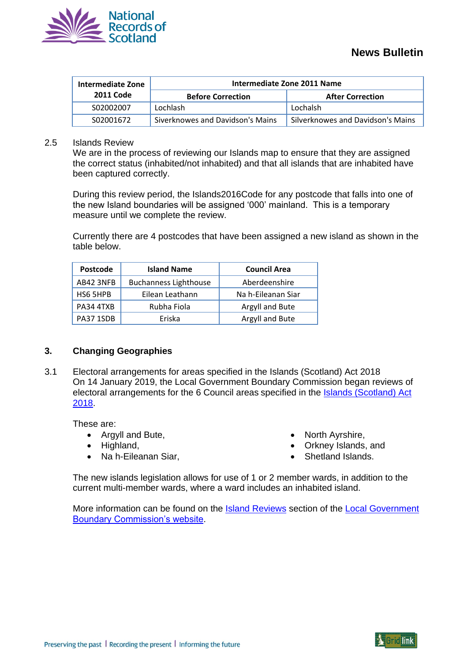

| <b>Intermediate Zone</b> | Intermediate Zone 2011 Name      |                                   |  |
|--------------------------|----------------------------------|-----------------------------------|--|
| <b>2011 Code</b>         | <b>Before Correction</b>         | <b>After Correction</b>           |  |
| S02002007                | Lochlash                         | Lochalsh                          |  |
| S02001672                | Siverknowes and Davidson's Mains | Silverknowes and Davidson's Mains |  |

#### 2.5 Islands Review

We are in the process of reviewing our Islands map to ensure that they are assigned the correct status (inhabited/not inhabited) and that all islands that are inhabited have been captured correctly.

During this review period, the Islands2016Code for any postcode that falls into one of the new Island boundaries will be assigned '000' mainland. This is a temporary measure until we complete the review.

Currently there are 4 postcodes that have been assigned a new island as shown in the table below.

| Postcode  | <b>Island Name</b>           | <b>Council Area</b> |
|-----------|------------------------------|---------------------|
| AB42 3NFB | <b>Buchanness Lighthouse</b> | Aberdeenshire       |
| HS6 5HPB  | Eilean Leathann              | Na h-Eileanan Siar  |
| PA34 4TXB | Rubha Fiola                  | Argyll and Bute     |
| PA37 1SDB | Eriska                       | Argyll and Bute     |

#### **3. Changing Geographies**

3.1 Electoral arrangements for areas specified in the Islands (Scotland) Act 2018 On 14 January 2019, the Local Government Boundary Commission began reviews of electoral arrangements for the 6 Council areas specified in the [Islands \(Scotland\) Act](http://www.legislation.gov.uk/asp/2018/12/enacted)  [2018.](http://www.legislation.gov.uk/asp/2018/12/enacted)

These are:

- Argyll and Bute,
- Highland,
- Na h-Eileanan Siar,
- North Ayrshire,
- Orkney Islands, and
- Shetland Islands.

The new islands legislation allows for use of 1 or 2 member wards, in addition to the current multi-member wards, where a ward includes an inhabited island.

More information can be found on the **Island Reviews** section of the Local Government [Boundary Commission's website.](http://www.lgbc-scotland.gov.uk/)

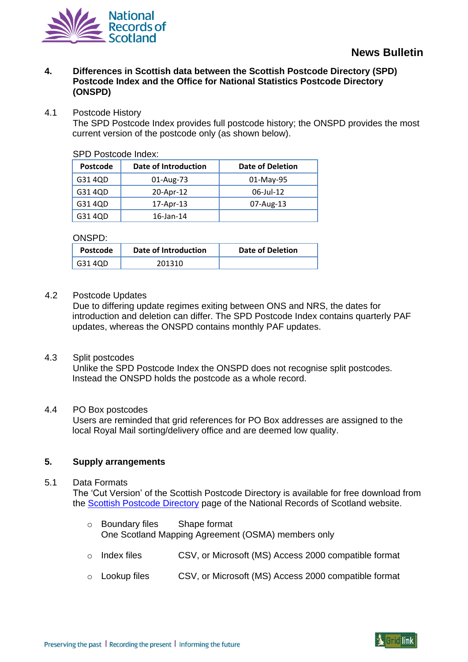

**4. Differences in Scottish data between the Scottish Postcode Directory (SPD) Postcode Index and the Office for National Statistics Postcode Directory (ONSPD)**

## 4.1 Postcode History

The SPD Postcode Index provides full postcode history; the ONSPD provides the most current version of the postcode only (as shown below).

SPD Postcode Index:

| Postcode | Date of Introduction | <b>Date of Deletion</b> |
|----------|----------------------|-------------------------|
| G31 4QD  | 01-Aug-73            | 01-May-95               |
| G31 4QD  | 20-Apr-12            | 06-Jul-12               |
| G31 4QD  | 17-Apr-13            | 07-Aug-13               |
| G31 4QD  | 16-Jan-14            |                         |

ONSPD:

| <b>Postcode</b> | Date of Introduction | Date of Deletion |
|-----------------|----------------------|------------------|
| G31 4QD         | 201310               |                  |

#### 4.2 Postcode Updates

Due to differing update regimes exiting between ONS and NRS, the dates for introduction and deletion can differ. The SPD Postcode Index contains quarterly PAF updates, whereas the ONSPD contains monthly PAF updates.

#### 4.3 Split postcodes

Unlike the SPD Postcode Index the ONSPD does not recognise split postcodes. Instead the ONSPD holds the postcode as a whole record.

#### 4.4 PO Box postcodes

Users are reminded that grid references for PO Box addresses are assigned to the local Royal Mail sorting/delivery office and are deemed low quality.

# **5. Supply arrangements**

#### 5.1 Data Formats

The 'Cut Version' of the Scottish Postcode Directory is available for free download from the [Scottish Postcode Directory](http://www.nrscotland.gov.uk/statistics-and-data/geography/nrs-postcode-extract) page of the National Records of Scotland website.

- o Boundary files Shape format One Scotland Mapping Agreement (OSMA) members only
- o Index files CSV, or Microsoft (MS) Access 2000 compatible format
- o Lookup files CSV, or Microsoft (MS) Access 2000 compatible format